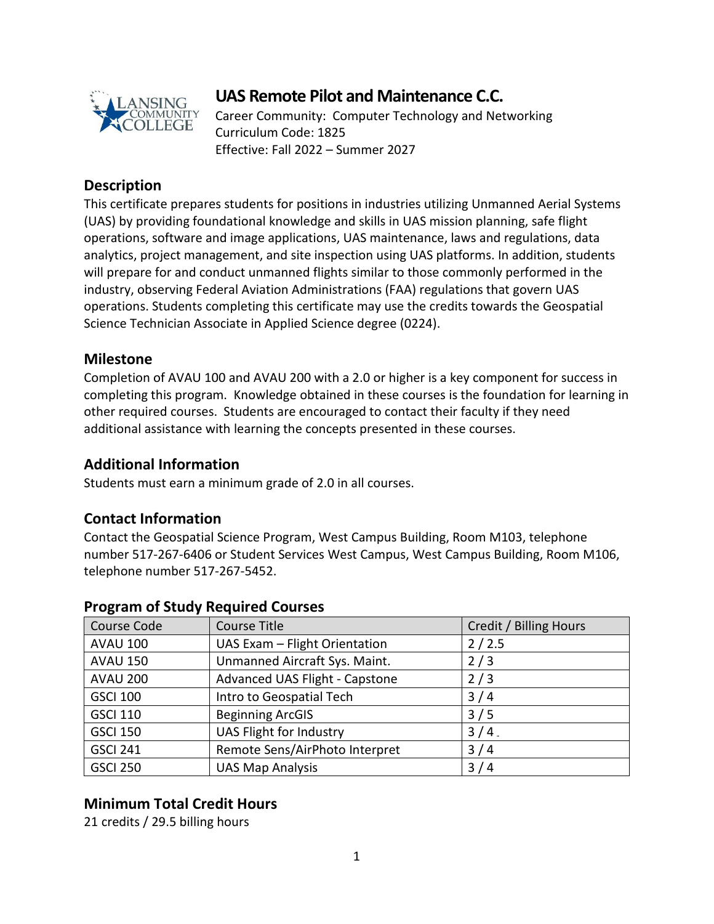

# **UAS Remote Pilot and Maintenance C.C.**

Career Community: Computer Technology and Networking Curriculum Code: 1825 Effective: Fall 2022 – Summer 2027

## **Description**

This certificate prepares students for positions in industries utilizing Unmanned Aerial Systems (UAS) by providing foundational knowledge and skills in UAS mission planning, safe flight operations, software and image applications, UAS maintenance, laws and regulations, data analytics, project management, and site inspection using UAS platforms. In addition, students will prepare for and conduct unmanned flights similar to those commonly performed in the industry, observing Federal Aviation Administrations (FAA) regulations that govern UAS operations. Students completing this certificate may use the credits towards the Geospatial Science Technician Associate in Applied Science degree (0224).

#### **Milestone**

Completion of AVAU 100 and AVAU 200 with a 2.0 or higher is a key component for success in completing this program. Knowledge obtained in these courses is the foundation for learning in other required courses. Students are encouraged to contact their faculty if they need additional assistance with learning the concepts presented in these courses.

#### **Additional Information**

Students must earn a minimum grade of 2.0 in all courses.

## **Contact Information**

Contact the Geospatial Science Program, West Campus Building, Room M103, telephone number 517-267-6406 or Student Services West Campus, West Campus Building, Room M106, telephone number 517-267-5452.

| Course Code     | Course Title                   | Credit / Billing Hours |
|-----------------|--------------------------------|------------------------|
| <b>AVAU 100</b> | UAS Exam - Flight Orientation  | 2/2.5                  |
| <b>AVAU 150</b> | Unmanned Aircraft Sys. Maint.  | 2/3                    |
| <b>AVAU 200</b> | Advanced UAS Flight - Capstone | 2/3                    |
| <b>GSCI 100</b> | Intro to Geospatial Tech       | 3/4                    |
| <b>GSCI 110</b> | <b>Beginning ArcGIS</b>        | 3/5                    |
| <b>GSCI 150</b> | UAS Flight for Industry        | $3/4$ .                |
| <b>GSCI 241</b> | Remote Sens/AirPhoto Interpret | 3/4                    |
| <b>GSCI 250</b> | <b>UAS Map Analysis</b>        | 3/4                    |

## **Program of Study Required Courses**

## **Minimum Total Credit Hours**

21 credits / 29.5 billing hours